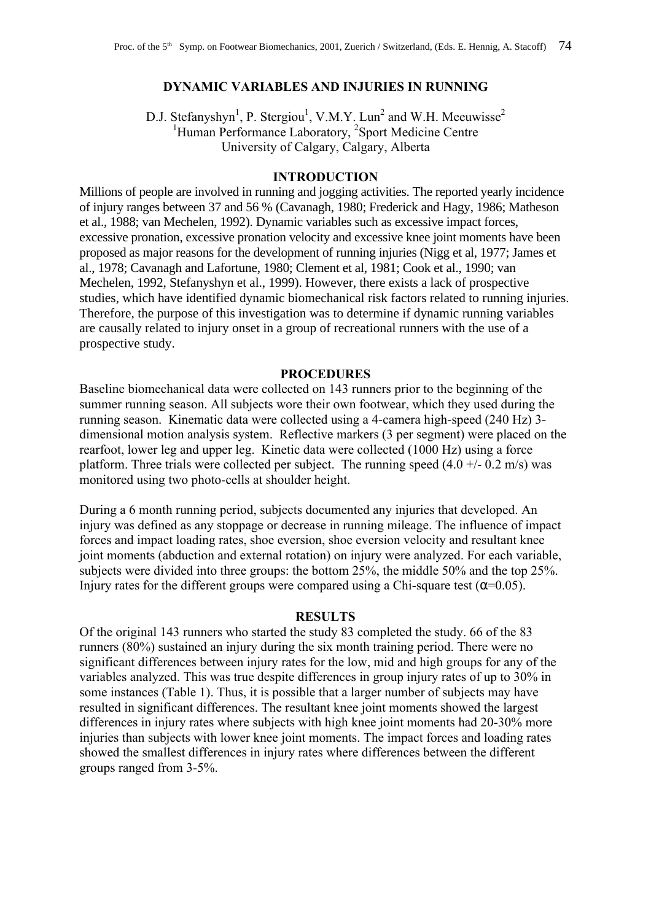## **DYNAMIC VARIABLES AND INJURIES IN RUNNING**

D.J. Stefanyshyn<sup>1</sup>, P. Stergiou<sup>1</sup>, V.M.Y. Lun<sup>2</sup> and W.H. Meeuwisse<sup>2</sup> <sup>1</sup>Human Performance Laboratory, <sup>2</sup>Sport Medicine Centre University of Calgary, Calgary, Alberta

# **INTRODUCTION**

Millions of people are involved in running and jogging activities. The reported yearly incidence of injury ranges between 37 and 56 % (Cavanagh, 1980; Frederick and Hagy, 1986; Matheson et al., 1988; van Mechelen, 1992). Dynamic variables such as excessive impact forces, excessive pronation, excessive pronation velocity and excessive knee joint moments have been proposed as major reasons for the development of running injuries (Nigg et al, 1977; James et al., 1978; Cavanagh and Lafortune, 1980; Clement et al, 1981; Cook et al., 1990; van Mechelen, 1992, Stefanyshyn et al., 1999). However, there exists a lack of prospective studies, which have identified dynamic biomechanical risk factors related to running injuries. Therefore, the purpose of this investigation was to determine if dynamic running variables are causally related to injury onset in a group of recreational runners with the use of a prospective study.

## **PROCEDURES**

Baseline biomechanical data were collected on 143 runners prior to the beginning of the summer running season. All subjects wore their own footwear, which they used during the running season. Kinematic data were collected using a 4-camera high-speed (240 Hz) 3 dimensional motion analysis system. Reflective markers (3 per segment) were placed on the rearfoot, lower leg and upper leg. Kinetic data were collected (1000 Hz) using a force platform. Three trials were collected per subject. The running speed  $(4.0 +1.02 \text{ m/s})$  was monitored using two photo-cells at shoulder height.

During a 6 month running period, subjects documented any injuries that developed. An injury was defined as any stoppage or decrease in running mileage. The influence of impact forces and impact loading rates, shoe eversion, shoe eversion velocity and resultant knee joint moments (abduction and external rotation) on injury were analyzed. For each variable, subjects were divided into three groups: the bottom 25%, the middle 50% and the top 25%. Injury rates for the different groups were compared using a Chi-square test  $($  =0.05).

# **RESULTS**

Of the original 143 runners who started the study 83 completed the study. 66 of the 83 runners (80%) sustained an injury during the six month training period. There were no significant differences between injury rates for the low, mid and high groups for any of the variables analyzed. This was true despite differences in group injury rates of up to 30% in some instances (Table 1). Thus, it is possible that a larger number of subjects may have resulted in significant differences. The resultant knee joint moments showed the largest differences in injury rates where subjects with high knee joint moments had 20-30% more injuries than subjects with lower knee joint moments. The impact forces and loading rates showed the smallest differences in injury rates where differences between the different groups ranged from 3-5%.